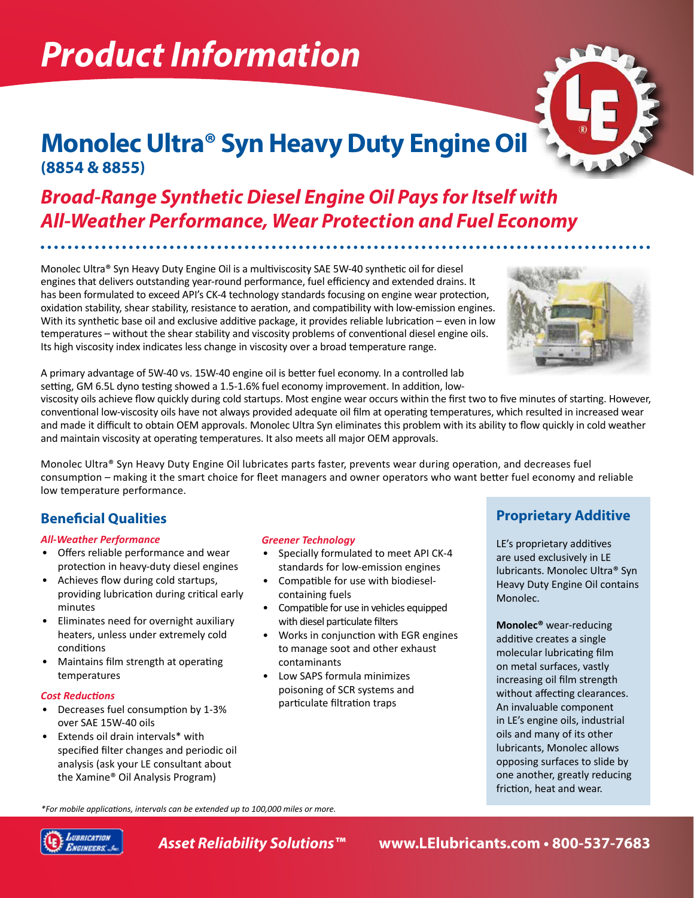# *Product Information*

## **Monolec Ultra® Syn Heavy Duty Engine Oil (8854 & 8855)**

## *Broad-Range Synthetic Diesel Engine Oil Pays for Itself with All-Weather Performance, Wear Protection and Fuel Economy*

Monolec Ultra® Syn Heavy Duty Engine Oil is a multiviscosity SAE 5W-40 synthetic oil for diesel engines that delivers outstanding year-round performance, fuel efficiency and extended drains. It has been formulated to exceed API's CK-4 technology standards focusing on engine wear protection, oxidation stability, shear stability, resistance to aeration, and compatibility with low-emission engines. With its synthetic base oil and exclusive additive package, it provides reliable lubrication – even in low temperatures – without the shear stability and viscosity problems of conventional diesel engine oils. Its high viscosity index indicates less change in viscosity over a broad temperature range.



A primary advantage of 5W-40 vs. 15W-40 engine oil is better fuel economy. In a controlled lab setting, GM 6.5L dyno testing showed a 1.5-1.6% fuel economy improvement. In addition, low-

viscosity oils achieve flow quickly during cold startups. Most engine wear occurs within the first two to five minutes of starting. However, conventional low-viscosity oils have not always provided adequate oil film at operating temperatures, which resulted in increased wear and made it difficult to obtain OEM approvals. Monolec Ultra Syn eliminates this problem with its ability to flow quickly in cold weather and maintain viscosity at operating temperatures. It also meets all major OEM approvals.

Monolec Ultra® Syn Heavy Duty Engine Oil lubricates parts faster, prevents wear during operation, and decreases fuel consumption – making it the smart choice for fleet managers and owner operators who want better fuel economy and reliable low temperature performance.

### **Beneficial Qualities**

#### *All-Weather Performance*

- Offers reliable performance and wear protection in heavy-duty diesel engines
- Achieves flow during cold startups, providing lubrication during critical early minutes
- Eliminates need for overnight auxiliary heaters, unless under extremely cold conditions
- Maintains film strength at operating temperatures

#### *Cost Reductions*

- Decreases fuel consumption by 1-3% over SAE 15W-40 oils
- Extends oil drain intervals\* with specified filter changes and periodic oil analysis (ask your LE consultant about the Xamine® Oil Analysis Program)

#### *Greener Technology*

- Specially formulated to meet API CK-4 standards for low-emission engines
- Compatible for use with biodieselcontaining fuels
- Compatible for use in vehicles equipped with diesel particulate filters
- Works in conjunction with EGR engines to manage soot and other exhaust contaminants
- Low SAPS formula minimizes poisoning of SCR systems and particulate filtration traps

### **Proprietary Additive**

LE's proprietary additives are used exclusively in LE lubricants. Monolec Ultra® Syn Heavy Duty Engine Oil contains Monolec.

**Monolec®** wear-reducing additive creates a single molecular lubricating film on metal surfaces, vastly increasing oil film strength without affecting clearances. An invaluable component in LE's engine oils, industrial oils and many of its other lubricants, Monolec allows opposing surfaces to slide by one another, greatly reducing friction, heat and wear.

*\*For mobile applications, intervals can be extended up to 100,000 miles or more.*



*Asset Reliability Solutions™* **www.LElubricants.com • 800-537-7683**